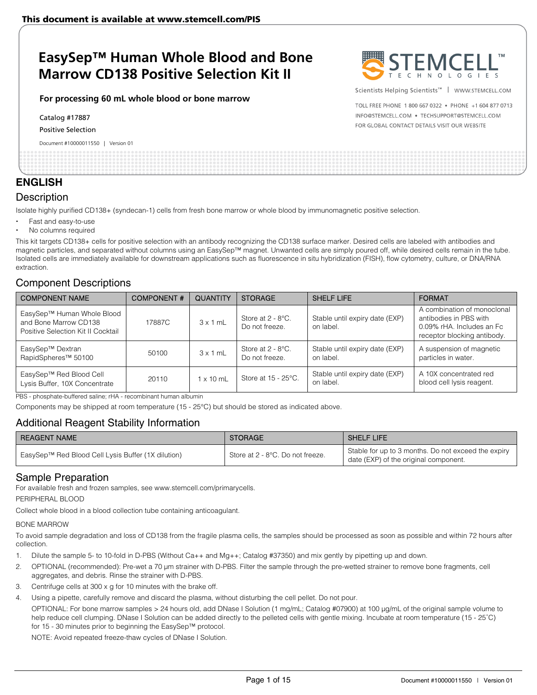#### **For processing 60 mL whole blood or bone marrow**

Catalog #17887

Positive Selection

Document #10000011550 | Version 01



Scientists Helping Scientists<sup>™</sup> | WWW.STEMCELL.COM

TOLL FREE PHONE 1 800 667 0322 . PHONE +1 604 877 0713 INFO@STEMCELL.COM . TECHSUPPORT@STEMCELL.COM FOR GLOBAL CONTACT DETAILS VISIT OUR WEBSITE

## **ENGLISH**

### **Description**

Isolate highly purified CD138+ (syndecan-1) cells from fresh bone marrow or whole blood by immunomagnetic positive selection.

- Fast and easy-to-use
- No columns required

This kit targets CD138+ cells for positive selection with an antibody recognizing the CD138 surface marker. Desired cells are labeled with antibodies and magnetic particles, and separated without columns using an EasySep™ magnet. Unwanted cells are simply poured off, while desired cells remain in the tube. Isolated cells are immediately available for downstream applications such as fluorescence in situ hybridization (FISH), flow cytometry, culture, or DNA/RNA extraction.

### Component Descriptions

| <b>COMPONENT NAME</b>                                                                     | <b>COMPONENT#</b> | <b>QUANTITY</b>  | <b>STORAGE</b>                         | <b>SHELF LIFE</b>                           | <b>FORMAT</b>                                                                                                     |
|-------------------------------------------------------------------------------------------|-------------------|------------------|----------------------------------------|---------------------------------------------|-------------------------------------------------------------------------------------------------------------------|
| EasySep™ Human Whole Blood<br>and Bone Marrow CD138<br>Positive Selection Kit II Cocktail | 17887C            | $3 \times 1$ mL  | Store at 2 - 8°C.<br>Do not freeze.    | Stable until expiry date (EXP)<br>on label. | A combination of monoclonal<br>antibodies in PBS with<br>0.09% rHA. Includes an Fc<br>receptor blocking antibody. |
| EasySep™ Dextran<br>RapidSpheres <sup>™</sup> 50100                                       | 50100             | $3 \times 1$ mL  | Store at $2 - 8$ °C.<br>Do not freeze. | Stable until expiry date (EXP)<br>on label. | A suspension of magnetic<br>particles in water.                                                                   |
| EasySep™ Red Blood Cell<br>Lysis Buffer, 10X Concentrate                                  | 20110             | $1 \times 10$ mL | Store at 15 - 25°C.                    | Stable until expiry date (EXP)<br>on label. | A 10X concentrated red<br>blood cell lysis reagent.                                                               |

PBS - phosphate-buffered saline; rHA - recombinant human albumin

Components may be shipped at room temperature (15 - 25°C) but should be stored as indicated above.

### Additional Reagent Stability Information

| <b>REAGENT NAME</b>                                | <b>STORAGE</b>                   | <b>SHELF LIFE</b>                                                                            |
|----------------------------------------------------|----------------------------------|----------------------------------------------------------------------------------------------|
| EasySep™ Red Blood Cell Lysis Buffer (1X dilution) | Store at 2 - 8°C. Do not freeze. | Stable for up to 3 months. Do not exceed the expiry<br>date (EXP) of the original component. |

### Sample Preparation

For available fresh and frozen samples, see www.stemcell.com/primarycells.

PERIPHERAL BLOOD

Collect whole blood in a blood collection tube containing anticoagulant.

#### BONE MARROW

To avoid sample degradation and loss of CD138 from the fragile plasma cells, the samples should be processed as soon as possible and within 72 hours after collection.

- 1. Dilute the sample 5- to 10-fold in D-PBS (Without Ca++ and Mg++; Catalog #37350) and mix gently by pipetting up and down.
- 2. OPTIONAL (recommended): Pre-wet a 70 μm strainer with D-PBS. Filter the sample through the pre-wetted strainer to remove bone fragments, cell aggregates, and debris. Rinse the strainer with D-PBS.
- 3. Centrifuge cells at 300 x g for 10 minutes with the brake off.
- Using a pipette, carefully remove and discard the plasma, without disturbing the cell pellet. Do not pour.

OPTIONAL: For bone marrow samples > 24 hours old, add DNase I Solution (1 mg/mL; Catalog #07900) at 100 μg/mL of the original sample volume to help reduce cell clumping. DNase I Solution can be added directly to the pelleted cells with gentle mixing. Incubate at room temperature (15 - 25°C) for 15 - 30 minutes prior to beginning the EasySep™ protocol.

NOTE: Avoid repeated freeze-thaw cycles of DNase I Solution.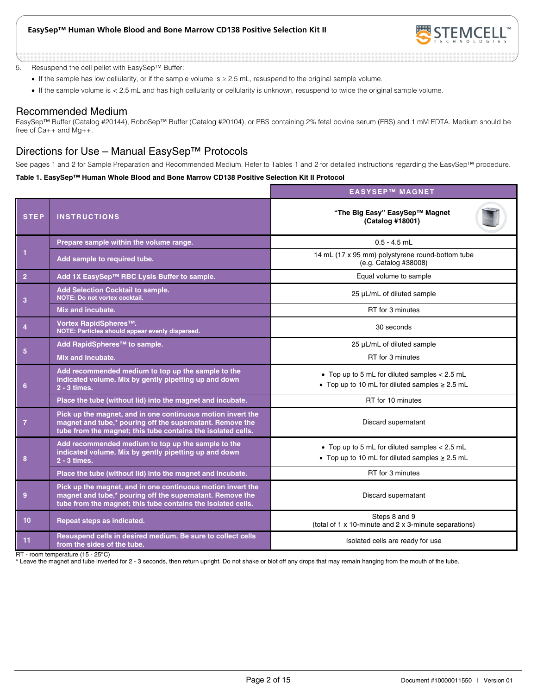

5. Resuspend the cell pellet with EasySep™ Buffer:

- If the sample has low cellularity, or if the sample volume is ≥ 2.5 mL, resuspend to the original sample volume.
- If the sample volume is < 2.5 mL and has high cellularity or cellularity is unknown, resuspend to twice the original sample volume.

### Recommended Medium

EasySep™ Buffer (Catalog #20144), RoboSep™ Buffer (Catalog #20104), or PBS containing 2% fetal bovine serum (FBS) and 1 mM EDTA. Medium should be free of Ca++ and Mg++.

### Directions for Use – Manual EasySep™ Protocols

See pages 1 and 2 for Sample Preparation and Recommended Medium. Refer to Tables 1 and 2 for detailed instructions regarding the EasySep™ procedure.

#### **Table 1. EasySep™ Human Whole Blood and Bone Marrow CD138 Positive Selection Kit II Protocol**

|                |                                                                                                                                                                                          | <b>EASYSEP™ MAGNET</b>                                                                                 |
|----------------|------------------------------------------------------------------------------------------------------------------------------------------------------------------------------------------|--------------------------------------------------------------------------------------------------------|
| <b>STEP</b>    | <b>INSTRUCTIONS</b>                                                                                                                                                                      | "The Big Easy" EasySep™ Magnet<br>(Catalog #18001)                                                     |
|                | Prepare sample within the volume range.                                                                                                                                                  | $0.5 - 4.5$ mL                                                                                         |
| 1              | Add sample to required tube.                                                                                                                                                             | 14 mL (17 x 95 mm) polystyrene round-bottom tube<br>(e.g. Catalog #38008)                              |
| $\overline{2}$ | Add 1X EasySep™ RBC Lysis Buffer to sample.                                                                                                                                              | Equal volume to sample                                                                                 |
| 3              | Add Selection Cocktail to sample.<br><b>NOTE: Do not vortex cocktail.</b>                                                                                                                | 25 µL/mL of diluted sample                                                                             |
|                | Mix and incubate.                                                                                                                                                                        | RT for 3 minutes                                                                                       |
| $\overline{4}$ | Vortex RapidSpheres™.<br>NOTE: Particles should appear evenly dispersed.                                                                                                                 | 30 seconds                                                                                             |
| 5              | Add RapidSpheres™ to sample.                                                                                                                                                             | 25 µL/mL of diluted sample                                                                             |
|                | Mix and incubate.                                                                                                                                                                        | RT for 3 minutes                                                                                       |
| 6              | Add recommended medium to top up the sample to the<br>indicated volume. Mix by gently pipetting up and down<br>$2 - 3$ times.                                                            | • Top up to 5 mL for diluted samples < 2.5 mL<br>• Top up to 10 mL for diluted samples $\geq$ 2.5 mL   |
|                | Place the tube (without lid) into the magnet and incubate.                                                                                                                               | RT for 10 minutes                                                                                      |
| $\overline{7}$ | Pick up the magnet, and in one continuous motion invert the<br>magnet and tube,* pouring off the supernatant. Remove the<br>tube from the magnet; this tube contains the isolated cells. | Discard supernatant                                                                                    |
| 8              | Add recommended medium to top up the sample to the<br>indicated volume. Mix by gently pipetting up and down<br>2 - 3 times.                                                              | • Top up to 5 mL for diluted samples $< 2.5$ mL<br>• Top up to 10 mL for diluted samples $\geq$ 2.5 mL |
|                | Place the tube (without lid) into the magnet and incubate.                                                                                                                               | RT for 3 minutes                                                                                       |
| 9              | Pick up the magnet, and in one continuous motion invert the<br>magnet and tube,* pouring off the supernatant. Remove the<br>tube from the magnet; this tube contains the isolated cells. | Discard supernatant                                                                                    |
| 10             | Repeat steps as indicated.                                                                                                                                                               | Steps 8 and 9<br>(total of 1 x 10-minute and 2 x 3-minute separations)                                 |
| 11             | Resuspend cells in desired medium. Be sure to collect cells<br>from the sides of the tube.                                                                                               | Isolated cells are ready for use                                                                       |

RT - room temperature (15 - 25°C)

\* Leave the magnet and tube inverted for 2 - 3 seconds, then return upright. Do not shake or blot off any drops that may remain hanging from the mouth of the tube.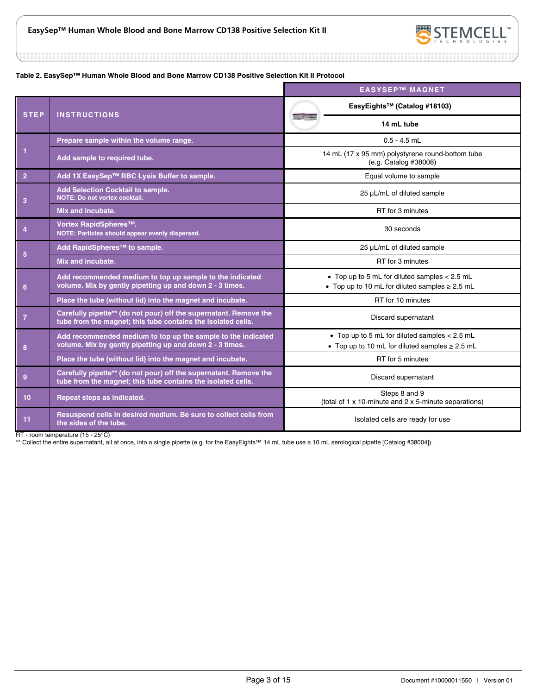

#### **Table 2. EasySep™ Human Whole Blood and Bone Marrow CD138 Positive Selection Kit II Protocol**

|                 |                                                                                                                                   | <b>EASYSEP™ MAGNET</b>                                                                                 |
|-----------------|-----------------------------------------------------------------------------------------------------------------------------------|--------------------------------------------------------------------------------------------------------|
| <b>STEP</b>     | <b>INSTRUCTIONS</b>                                                                                                               | EasyEights™ (Catalog #18103)                                                                           |
|                 |                                                                                                                                   | 14 mL tube                                                                                             |
|                 | Prepare sample within the volume range.                                                                                           | $0.5 - 4.5$ mL                                                                                         |
| $\mathbf{1}$    | Add sample to required tube.                                                                                                      | 14 mL (17 x 95 mm) polystyrene round-bottom tube<br>(e.g. Catalog #38008)                              |
| $\overline{2}$  | Add 1X EasySep™ RBC Lysis Buffer to sample.                                                                                       | Equal volume to sample                                                                                 |
| 3               | <b>Add Selection Cocktail to sample.</b><br>NOTE: Do not vortex cocktail.                                                         | 25 µL/mL of diluted sample                                                                             |
|                 | Mix and incubate.                                                                                                                 | RT for 3 minutes                                                                                       |
| $\overline{4}$  | Vortex RapidSpheres™.<br>NOTE: Particles should appear evenly dispersed.                                                          | 30 seconds                                                                                             |
| $5\phantom{.0}$ | Add RapidSpheres <sup>™</sup> to sample.                                                                                          | 25 µL/mL of diluted sample                                                                             |
|                 | Mix and incubate.                                                                                                                 | RT for 3 minutes                                                                                       |
| 6               | Add recommended medium to top up sample to the indicated<br>volume. Mix by gently pipetting up and down 2 - 3 times.              | • Top up to 5 mL for diluted samples $< 2.5$ mL<br>• Top up to 10 mL for diluted samples $\geq$ 2.5 mL |
|                 | Place the tube (without lid) into the magnet and incubate.                                                                        | RT for 10 minutes                                                                                      |
| $\overline{7}$  | Carefully pipette** (do not pour) off the supernatant. Remove the<br>tube from the magnet; this tube contains the isolated cells. | Discard supernatant                                                                                    |
| 8               | Add recommended medium to top up the sample to the indicated<br>volume. Mix by gently pipetting up and down 2 - 3 times.          | • Top up to 5 mL for diluted samples $< 2.5$ mL<br>• Top up to 10 mL for diluted samples $\geq 2.5$ mL |
|                 | Place the tube (without lid) into the magnet and incubate.                                                                        | RT for 5 minutes                                                                                       |
| 9               | Carefully pipette** (do not pour) off the supernatant. Remove the<br>tube from the magnet; this tube contains the isolated cells. | Discard supernatant                                                                                    |
| 10 <sub>1</sub> | Repeat steps as indicated.                                                                                                        | Steps 8 and 9<br>(total of 1 x 10-minute and 2 x 5-minute separations)                                 |
| 11              | Resuspend cells in desired medium. Be sure to collect cells from<br>the sides of the tube.                                        | Isolated cells are ready for use                                                                       |

RT - room temperature (15 - 25°C)

\*\* Collect the entire supernatant, all at once, into a single pipette (e.g. for the EasyEights™ 14 mL tube use a 10 mL serological pipette [Catalog #38004]).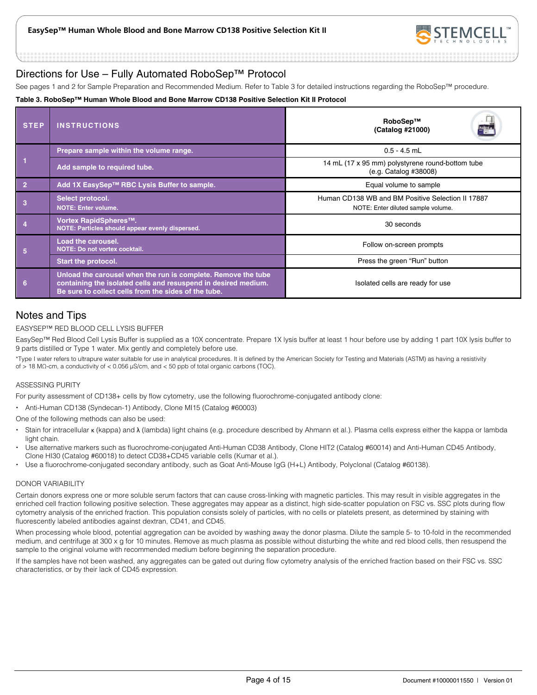

### Directions for Use – Fully Automated RoboSep™ Protocol

See pages 1 and 2 for Sample Preparation and Recommended Medium. Refer to Table 3 for detailed instructions regarding the RoboSep™ procedure.

#### **Table 3. RoboSep™ Human Whole Blood and Bone Marrow CD138 Positive Selection Kit II Protocol**

| <b>STEP</b>    | <b>INSTRUCTIONS</b>                                                                                                                                                                     | RoboSep™<br>E.<br>(Catalog #21000)                                                      |
|----------------|-----------------------------------------------------------------------------------------------------------------------------------------------------------------------------------------|-----------------------------------------------------------------------------------------|
|                | Prepare sample within the volume range.                                                                                                                                                 | $0.5 - 4.5$ mL                                                                          |
|                | Add sample to required tube.                                                                                                                                                            | 14 mL (17 x 95 mm) polystyrene round-bottom tube<br>(e.g. Catalog #38008)               |
| $\overline{2}$ | Add 1X EasySep™ RBC Lysis Buffer to sample.                                                                                                                                             | Equal volume to sample                                                                  |
|                | Select protocol.<br><b>NOTE: Enter volume.</b>                                                                                                                                          | Human CD138 WB and BM Positive Selection II 17887<br>NOTE: Enter diluted sample volume. |
|                | Vortex RapidSpheres™.<br>NOTE: Particles should appear evenly dispersed.                                                                                                                | 30 seconds                                                                              |
| 5              | <b>Load the carousel.</b><br>NOTE: Do not vortex cocktail.                                                                                                                              | Follow on-screen prompts                                                                |
|                | <b>Start the protocol.</b>                                                                                                                                                              | Press the green "Run" button                                                            |
| 6              | Unload the carousel when the run is complete. Remove the tube<br>containing the isolated cells and resuspend in desired medium.<br>Be sure to collect cells from the sides of the tube. | Isolated cells are ready for use                                                        |

### Notes and Tips

### EASYSEP™ RED BLOOD CELL LYSIS BUFFER

EasySep™ Red Blood Cell Lysis Buffer is supplied as a 10X concentrate. Prepare 1X lysis buffer at least 1 hour before use by adding 1 part 10X lysis buffer to 9 parts distilled or Type 1 water. Mix gently and completely before use.

\*Type I water refers to ultrapure water suitable for use in analytical procedures. It is defined by the American Society for Testing and Materials (ASTM) as having a resistivity of > 18 MΩ-cm, a conductivity of < 0.056 μS/cm, and < 50 ppb of total organic carbons (TOC).

#### ASSESSING PURITY

For purity assessment of CD138+ cells by flow cytometry, use the following fluorochrome-conjugated antibody clone:

Anti-Human CD138 (Syndecan-1) Antibody, Clone MI15 (Catalog #60003)

One of the following methods can also be used:

- Stain for intracellular κ (kappa) and λ (lambda) light chains (e.g. procedure described by Ahmann et al.). Plasma cells express either the kappa or lambda light chain.
- Use alternative markers such as fluorochrome-conjugated Anti-Human CD38 Antibody, Clone HIT2 (Catalog #60014) and Anti-Human CD45 Antibody, Clone HI30 (Catalog #60018) to detect CD38+CD45 variable cells (Kumar et al.).
- Use a fluorochrome-conjugated secondary antibody, such as Goat Anti-Mouse IgG (H+L) Antibody, Polyclonal (Catalog #60138).

#### DONOR VARIABILITY

Certain donors express one or more soluble serum factors that can cause cross-linking with magnetic particles. This may result in visible aggregates in the enriched cell fraction following positive selection. These aggregates may appear as a distinct, high side-scatter population on FSC vs. SSC plots during flow cytometry analysis of the enriched fraction. This population consists solely of particles, with no cells or platelets present, as determined by staining with fluorescently labeled antibodies against dextran, CD41, and CD45.

When processing whole blood, potential aggregation can be avoided by washing away the donor plasma. Dilute the sample 5- to 10-fold in the recommended medium, and centrifuge at 300 x g for 10 minutes. Remove as much plasma as possible without disturbing the white and red blood cells, then resuspend the sample to the original volume with recommended medium before beginning the separation procedure.

If the samples have not been washed, any aggregates can be gated out during flow cytometry analysis of the enriched fraction based on their FSC vs. SSC characteristics, or by their lack of CD45 expression.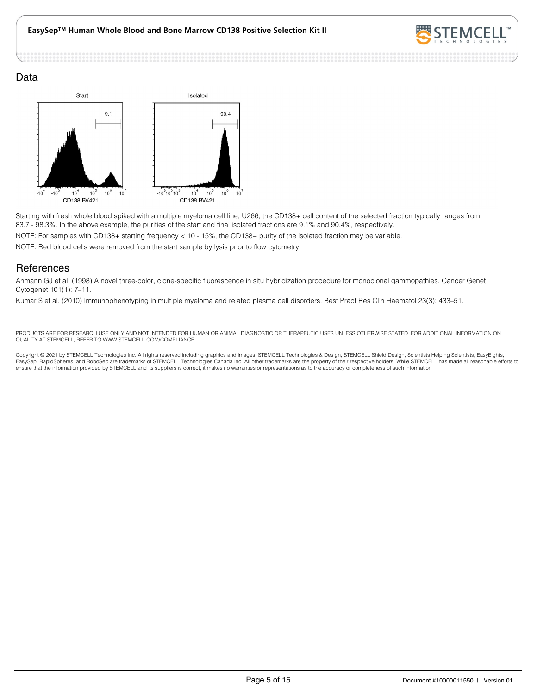

### Data



Starting with fresh whole blood spiked with a multiple myeloma cell line, U266, the CD138+ cell content of the selected fraction typically ranges from 83.7 - 98.3%. In the above example, the purities of the start and final isolated fractions are 9.1% and 90.4%, respectively.

NOTE: For samples with CD138+ starting frequency < 10 - 15%, the CD138+ purity of the isolated fraction may be variable.

NOTE: Red blood cells were removed from the start sample by lysis prior to flow cytometry.

### **References**

Ahmann GJ et al. (1998) A novel three-color, clone-specific fluorescence in situ hybridization procedure for monoclonal gammopathies. Cancer Genet Cytogenet 101(1): 7–11.

Kumar S et al. (2010) Immunophenotyping in multiple myeloma and related plasma cell disorders. Best Pract Res Clin Haematol 23(3): 433–51.

PRODUCTS ARE FOR RESEARCH USE ONLY AND NOT INTENDED FOR HUMAN OR ANIMAL DIAGNOSTIC OR THERAPEUTIC USES UNLESS OTHERWISE STATED. FOR ADDITIONAL INFORMATION ON QUALITY AT STEMCELL, REFER TO WWW.STEMCELL.COM/COMPLIANCE.

Copyright © 2021 by STEMCELL Technologies Inc. All rights reserved including graphics and images. STEMCELL Technologies & Design, STEMCELL Shield Design, Scientists Helping Scientists, EasyEights,<br>EasySep, RapidSpheres, an ensure that the information provided by STEMCELL and its suppliers is correct, it makes no warranties or representations as to the accuracy or completeness of such information.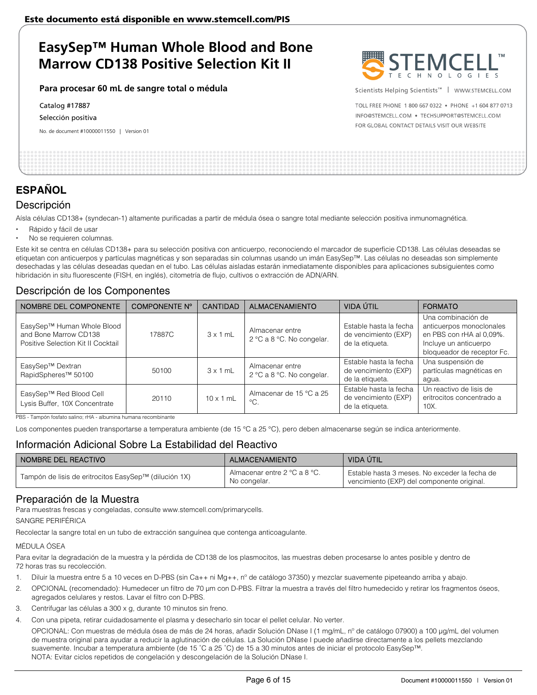**Para procesar 60 mL de sangre total o médula** 

Catalog #17887

Selección positiva

No. de document #10000011550 | Version 01



Scientists Helping Scientists™ | WWW.STEMCELL.COM

TOLL FREE PHONE 1 800 667 0322 . PHONE +1 604 877 0713 INFO@STEMCELL.COM . TECHSUPPORT@STEMCELL.COM FOR GLOBAL CONTACT DETAILS VISIT OUR WEBSITE

# **ESPAÑOL**

### Descripción

Aísla células CD138+ (syndecan-1) altamente purificadas a partir de médula ósea o sangre total mediante selección positiva inmunomagnética.

- Rápido y fácil de usar
- No se requieren columnas.

Este kit se centra en células CD138+ para su selección positiva con anticuerpo, reconociendo el marcador de superficie CD138. Las células deseadas se etiquetan con anticuerpos y partículas magnéticas y son separadas sin columnas usando un imán EasySep™. Las células no deseadas son simplemente desechadas y las células deseadas quedan en el tubo. Las células aisladas estarán inmediatamente disponibles para aplicaciones subsiguientes como hibridación in situ fluorescente (FISH, en inglés), citometría de flujo, cultivos o extracción de ADN/ARN.

### Descripción de los Componentes

| NOMBRE DEL COMPONENTE                                                                     | <b>COMPONENTE Nº</b> | <b>CANTIDAD</b>  | <b>ALMACENAMIENTO</b>                        | VIDA ÚTIL                                                         | <b>FORMATO</b>                                                                                                                    |
|-------------------------------------------------------------------------------------------|----------------------|------------------|----------------------------------------------|-------------------------------------------------------------------|-----------------------------------------------------------------------------------------------------------------------------------|
| EasySep™ Human Whole Blood<br>and Bone Marrow CD138<br>Positive Selection Kit II Cocktail | 17887C               | $3 \times 1$ mL  | Almacenar entre<br>2 °C a 8 °C. No congelar. | Estable hasta la fecha<br>de vencimiento (EXP)<br>de la etiqueta. | Una combinación de<br>anticuerpos monoclonales<br>en PBS con rHA al 0,09%.<br>Incluye un anticuerpo<br>bloqueador de receptor Fc. |
| EasySep™ Dextran<br>RapidSpheres <sup>™</sup> 50100                                       | 50100                | $3 \times 1$ mL  | Almacenar entre<br>2 °C a 8 °C. No congelar. | Estable hasta la fecha<br>de vencimiento (EXP)<br>de la etiqueta. | Una suspensión de<br>partículas magnéticas en<br>agua.                                                                            |
| EasySep™ Red Blood Cell<br>Lysis Buffer, 10X Concentrate                                  | 20110                | $10 \times 1$ mL | Almacenar de 15 °C a 25<br>$^{\circ}C.$      | Estable hasta la fecha<br>de vencimiento (EXP)<br>de la etiqueta. | Un reactivo de lisis de<br>eritrocitos concentrado a<br>10X.                                                                      |

PBS - Tampón fosfato salino; rHA - albumina humana recombinante

Los componentes pueden transportarse a temperatura ambiente (de 15 °C a 25 °C), pero deben almacenarse según se indica anteriormente.

### Información Adicional Sobre La Estabilidad del Reactivo

| I NOMBRE DEL REACTIVO                                 | ALMACENAMIENTO                               | VIDA ÚTIL                                                                                   |
|-------------------------------------------------------|----------------------------------------------|---------------------------------------------------------------------------------------------|
| Tampón de lisis de eritrocitos EasySep™ (dilución 1X) | Almacenar entre 2 °C a 8 °C.<br>No congelar. | Estable hasta 3 meses. No exceder la fecha de<br>vencimiento (EXP) del componente original. |

### Preparación de la Muestra

Para muestras frescas y congeladas, consulte www.stemcell.com/primarycells.

SANGRE PERIFÉRICA

Recolectar la sangre total en un tubo de extracción sanguínea que contenga anticoagulante.

#### MÉDULA ÓSEA

Para evitar la degradación de la muestra y la pérdida de CD138 de los plasmocitos, las muestras deben procesarse lo antes posible y dentro de 72 horas tras su recolección.

- 1. Diluir la muestra entre 5 a 10 veces en D-PBS (sin Ca++ ni Mg++, n° de catálogo 37350) y mezclar suavemente pipeteando arriba y abajo.
- 2. OPCIONAL (recomendado): Humedecer un filtro de 70 μm con D-PBS. Filtrar la muestra a través del filtro humedecido y retirar los fragmentos óseos, agregados celulares y restos. Lavar el filtro con D-PBS.
- 3. Centrifugar las células a 300 x g, durante 10 minutos sin freno.
- 4. Con una pipeta, retirar cuidadosamente el plasma y desecharlo sin tocar el pellet celular. No verter.

OPCIONAL: Con muestras de médula ósea de más de 24 horas, añadir Solución DNase I (1 mg/mL, nº de catálogo 07900) a 100 μg/mL del volumen de muestra original para ayudar a reducir la aglutinación de células. La Solución DNase I puede añadirse directamente a los pellets mezclando suavemente. Incubar a temperatura ambiente (de 15 ˚C a 25 ˚C) de 15 a 30 minutos antes de iniciar el protocolo EasySep™. NOTA: Evitar ciclos repetidos de congelación y descongelación de la Solución DNase I.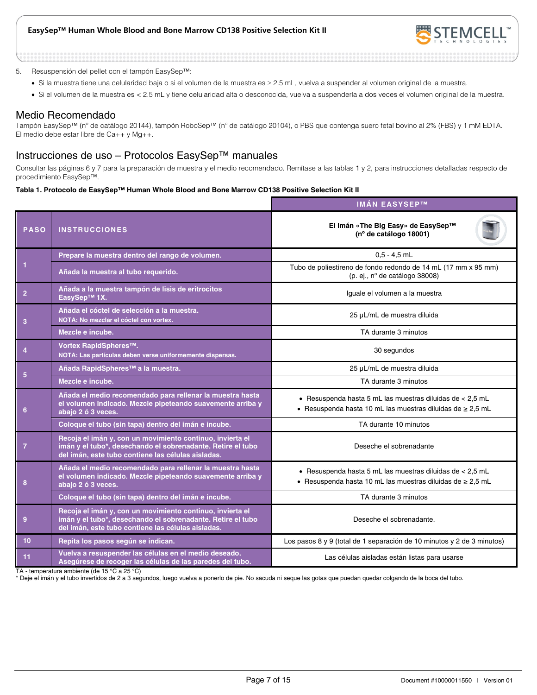

#### 5. Resuspensión del pellet con el tampón EasySep™:

- Si la muestra tiene una celularidad baja o si el volumen de la muestra es ≥ 2.5 mL, vuelva a suspender al volumen original de la muestra.
- Si el volumen de la muestra es < 2.5 mL y tiene celularidad alta o desconocida, vuelva a suspenderla a dos veces el volumen original de la muestra.

#### Medio Recomendado

Tampón EasySep™ (nº de catálogo 20144), tampón RoboSep™ (nº de catálogo 20104), o PBS que contenga suero fetal bovino al 2% (FBS) y 1 mM EDTA. El medio debe estar libre de Ca++ y Mg++.

### Instrucciones de uso – Protocolos EasySep™ manuales

Consultar las páginas 6 y 7 para la preparación de muestra y el medio recomendado. Remítase a las tablas 1 y 2, para instrucciones detalladas respecto de procedimiento EasySep™.

#### **Tabla 1. Protocolo de EasySep™ Human Whole Blood and Bone Marrow CD138 Positive Selection Kit II**

|                |                                                                                                                                                                                | <b>IMÁN EASYSEP™</b>                                                                                                           |  |
|----------------|--------------------------------------------------------------------------------------------------------------------------------------------------------------------------------|--------------------------------------------------------------------------------------------------------------------------------|--|
| <b>PASO</b>    | <b>INSTRUCCIONES</b>                                                                                                                                                           | El imán «The Big Easy» de EasySep™<br>(nº de catálogo 18001)                                                                   |  |
|                | Prepare la muestra dentro del rango de volumen.                                                                                                                                | $0.5 - 4.5$ mL                                                                                                                 |  |
| 1              | Añada la muestra al tubo requerido.                                                                                                                                            | Tubo de poliestireno de fondo redondo de 14 mL (17 mm x 95 mm)<br>(p. ej., nº de catálogo 38008)                               |  |
| $\overline{2}$ | Añada a la muestra tampón de lisis de eritrocitos<br>EasySep™ 1X.                                                                                                              | Iguale el volumen a la muestra                                                                                                 |  |
| 3              | Añada el cóctel de selección a la muestra.<br>NOTA: No mezclar el cóctel con vortex.                                                                                           | 25 µL/mL de muestra diluida                                                                                                    |  |
|                | Mezcle e incube.                                                                                                                                                               | TA durante 3 minutos                                                                                                           |  |
| $\overline{4}$ | Vortex RapidSpheres™.<br>NOTA: Las partículas deben verse uniformemente dispersas.                                                                                             | 30 segundos                                                                                                                    |  |
| 5              | Añada RapidSpheres™ a la muestra.                                                                                                                                              | 25 µL/mL de muestra diluida                                                                                                    |  |
|                | Mezcle e incube.                                                                                                                                                               | TA durante 3 minutos                                                                                                           |  |
| 6              | Añada el medio recomendado para rellenar la muestra hasta<br>el volumen indicado. Mezcle pipeteando suavemente arriba y<br>abajo 2 ó 3 veces.                                  | • Resuspenda hasta 5 mL las muestras diluidas de < $2,5$ mL<br>• Resuspenda hasta 10 mL las muestras diluidas de $\geq 2.5$ mL |  |
|                | Coloque el tubo (sin tapa) dentro del imán e incube.                                                                                                                           | TA durante 10 minutos                                                                                                          |  |
| $\overline{7}$ | Recoja el imán y, con un movimiento continuo, invierta el<br>imán y el tubo*, desechando el sobrenadante. Retire el tubo<br>del imán, este tubo contiene las células aisladas. | Deseche el sobrenadante                                                                                                        |  |
| 8              | Añada el medio recomendado para rellenar la muestra hasta<br>el volumen indicado. Mezcle pipeteando suavemente arriba y<br>abajo 2 ó 3 veces.                                  | • Resuspenda hasta 5 mL las muestras diluidas de < $2,5$ mL<br>• Resuspenda hasta 10 mL las muestras diluidas de $\geq 2.5$ mL |  |
|                | Coloque el tubo (sin tapa) dentro del imán e incube.                                                                                                                           | TA durante 3 minutos                                                                                                           |  |
| 9              | Recoja el imán y, con un movimiento continuo, invierta el<br>imán y el tubo*, desechando el sobrenadante. Retire el tubo<br>del imán, este tubo contiene las células aisladas. | Deseche el sobrenadante.                                                                                                       |  |
| 10             | Repita los pasos según se indican.                                                                                                                                             | Los pasos 8 y 9 (total de 1 separación de 10 minutos y 2 de 3 minutos)                                                         |  |
| 11             | Vuelva a resuspender las células en el medio deseado.<br>Asegúrese de recoger las células de las paredes del tubo.                                                             | Las células aisladas están listas para usarse                                                                                  |  |

TA - temperatura ambiente (de 15 °C a 25 °C)

\* Deje el imán y el tubo invertidos de 2 a 3 segundos, luego vuelva a ponerlo de pie. No sacuda ni seque las gotas que puedan quedar colgando de la boca del tubo.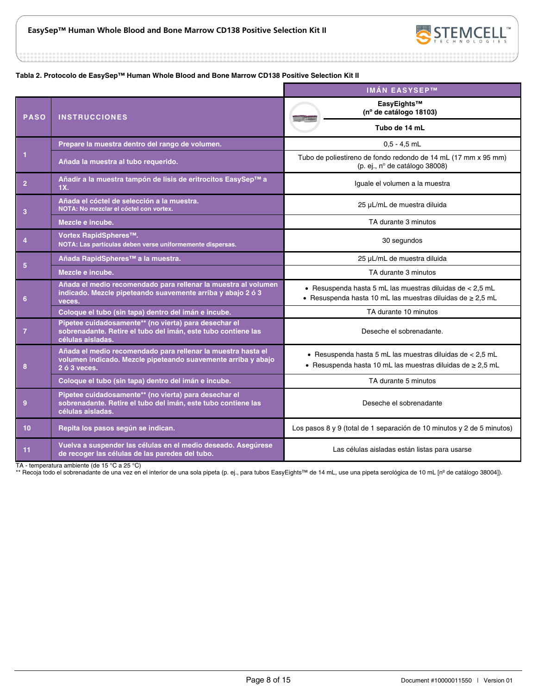

...........

#### **Tabla 2. Protocolo de EasySep™ Human Whole Blood and Bone Marrow CD138 Positive Selection Kit II**

|                |                                                                                                                                               | <b>IMÁN EASYSEP™</b>                                                                                                           |
|----------------|-----------------------------------------------------------------------------------------------------------------------------------------------|--------------------------------------------------------------------------------------------------------------------------------|
| <b>PASO</b>    | <b>INSTRUCCIONES</b>                                                                                                                          | EasyEights™<br>(nº de catálogo 18103)                                                                                          |
|                |                                                                                                                                               | Tubo de 14 mL                                                                                                                  |
|                | Prepare la muestra dentro del rango de volumen.                                                                                               | $0.5 - 4.5$ mL                                                                                                                 |
| 1              | Añada la muestra al tubo requerido.                                                                                                           | Tubo de poliestireno de fondo redondo de 14 mL (17 mm x 95 mm)<br>(p. ej., nº de catálogo 38008)                               |
| $\overline{2}$ | Añadir a la muestra tampón de lisis de eritrocitos EasySep™ a<br>1X.                                                                          | Iguale el volumen a la muestra                                                                                                 |
| 3              | Añada el cóctel de selección a la muestra.<br>NOTA: No mezclar el cóctel con vortex.                                                          | 25 µL/mL de muestra diluida                                                                                                    |
|                | Mezcle e incube.                                                                                                                              | TA durante 3 minutos                                                                                                           |
| $\overline{4}$ | Vortex RapidSpheres™.<br>NOTA: Las partículas deben verse uniformemente dispersas.                                                            | 30 segundos                                                                                                                    |
| 5              | Añada RapidSpheres™ a la muestra.                                                                                                             | 25 µL/mL de muestra diluida                                                                                                    |
|                | Mezcle e incube.                                                                                                                              | TA durante 3 minutos                                                                                                           |
| 6              | Añada el medio recomendado para rellenar la muestra al volumen<br>indicado. Mezcle pipeteando suavemente arriba y abajo 2 ó 3<br>veces.       | · Resuspenda hasta 5 mL las muestras diluidas de < 2,5 mL<br>- Resuspenda hasta 10 mL las muestras diluidas de $\geq 2.5$ mL   |
|                | Coloque el tubo (sin tapa) dentro del imán e incube.                                                                                          | TA durante 10 minutos                                                                                                          |
| $\overline{7}$ | Pipetee cuidadosamente** (no vierta) para desechar el<br>sobrenadante. Retire el tubo del imán, este tubo contiene las<br>células aisladas.   | Deseche el sobrenadante.                                                                                                       |
| 8              | Añada el medio recomendado para rellenar la muestra hasta el<br>volumen indicado. Mezcle pipeteando suavemente arriba y abajo<br>2 ó 3 veces. | • Resuspenda hasta 5 mL las muestras diluidas de $< 2.5$ mL<br>• Resuspenda hasta 10 mL las muestras diluidas de $\geq 2.5$ mL |
|                | Coloque el tubo (sin tapa) dentro del imán e incube.                                                                                          | TA durante 5 minutos                                                                                                           |
| 9              | Pipetee cuidadosamente** (no vierta) para desechar el<br>sobrenadante. Retire el tubo del imán, este tubo contiene las<br>células aisladas.   | Deseche el sobrenadante                                                                                                        |
| 10             | Repita los pasos según se indican.                                                                                                            | Los pasos 8 y 9 (total de 1 separación de 10 minutos y 2 de 5 minutos)                                                         |
| 11             | Vuelva a suspender las células en el medio deseado. Asegúrese<br>de recoger las células de las paredes del tubo.                              | Las células aisladas están listas para usarse                                                                                  |

TA - temperatura ambiente (de 15 °C a 25 °C)

\*\* Recoja todo el sobrenadante de una vez en el interior de una sola pipeta (p. ej., para tubos EasyEights™ de 14 mL, use una pipeta serológica de 10 mL [nº de catálogo 38004]).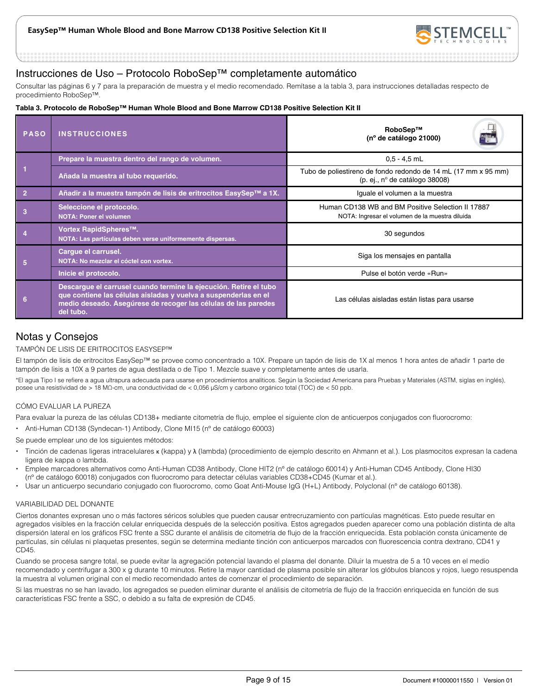

### Instrucciones de Uso – Protocolo RoboSep™ completamente automático

Consultar las páginas 6 y 7 para la preparación de muestra y el medio recomendado. Remítase a la tabla 3, para instrucciones detalladas respecto de procedimiento RoboSep™.

#### **Tabla 3. Protocolo de RoboSep™ Human Whole Blood and Bone Marrow CD138 Positive Selection Kit II**

| <b>PASO</b>    | <b>INSTRUCCIONES</b>                                                                                                                                                                                                | RoboSep™<br>(nº de catálogo 21000)                                                                   |
|----------------|---------------------------------------------------------------------------------------------------------------------------------------------------------------------------------------------------------------------|------------------------------------------------------------------------------------------------------|
|                | Prepare la muestra dentro del rango de volumen.                                                                                                                                                                     | $0.5 - 4.5$ mL                                                                                       |
|                | Añada la muestra al tubo requerido.                                                                                                                                                                                 | Tubo de poliestireno de fondo redondo de 14 mL (17 mm x 95 mm)<br>(p. ej., nº de catálogo 38008)     |
| $\overline{2}$ | Añadir a la muestra tampón de lisis de eritrocitos EasySep™ a 1X.                                                                                                                                                   | Iguale el volumen a la muestra                                                                       |
| 3              | Seleccione el protocolo.<br><b>NOTA: Poner el volumen</b>                                                                                                                                                           | Human CD138 WB and BM Positive Selection II 17887<br>NOTA: Ingresar el volumen de la muestra diluida |
|                | Vortex RapidSpheres™.<br>NOTA: Las partículas deben verse uniformemente dispersas.                                                                                                                                  | 30 segundos                                                                                          |
| 5              | Cargue el carrusel.<br>NOTA: No mezclar el cóctel con vortex.                                                                                                                                                       | Siga los mensajes en pantalla                                                                        |
|                | Inicie el protocolo.                                                                                                                                                                                                | Pulse el botón verde «Run»                                                                           |
| 6              | Descargue el carrusel cuando termine la ejecución. Retire el tubo<br>que contiene las células aisladas y vuelva a suspenderlas en el<br>medio deseado. Asegúrese de recoger las células de las paredes<br>del tubo. | Las células aisladas están listas para usarse                                                        |

### Notas y Consejos

#### TAMPÓN DE LISIS DE ERITROCITOS EASYSEP™

El tampón de lisis de eritrocitos EasySep™ se provee como concentrado a 10X. Prepare un tapón de lisis de 1X al menos 1 hora antes de añadir 1 parte de tampón de lisis a 10X a 9 partes de agua destilada o de Tipo 1. Mezcle suave y completamente antes de usarla.

\*El agua Tipo I se refiere a agua ultrapura adecuada para usarse en procedimientos analíticos. Según la Sociedad Americana para Pruebas y Materiales (ASTM, siglas en inglés), posee una resistividad de > 18 MΩ-cm, una conductividad de < 0,056 μS/cm y carbono orgánico total (TOC) de < 50 ppb.

#### CÓMO EVALUAR LA PUREZA

Para evaluar la pureza de las células CD138+ mediante citometría de flujo, emplee el siguiente clon de anticuerpos conjugados con fluorocromo:

Anti-Human CD138 (Syndecan-1) Antibody, Clone MI15 (nº de catálogo 60003)

Se puede emplear uno de los siguientes métodos:

- Tinción de cadenas ligeras intracelulares κ (kappa) y λ (lambda) (procedimiento de ejemplo descrito en Ahmann et al.). Los plasmocitos expresan la cadena ligera de kappa o lambda.
- Emplee marcadores alternativos como Anti-Human CD38 Antibody, Clone HIT2 (nº de catálogo 60014) y Anti-Human CD45 Antibody, Clone HI30 (nº de catálogo 60018) conjugados con fluorocromo para detectar células variables CD38+CD45 (Kumar et al.).
- Usar un anticuerpo secundario conjugado con fluorocromo, como Goat Anti-Mouse IgG (H+L) Antibody, Polyclonal (nº de catálogo 60138).

#### VARIABILIDAD DEL DONANTE

Ciertos donantes expresan uno o más factores séricos solubles que pueden causar entrecruzamiento con partículas magnéticas. Esto puede resultar en agregados visibles en la fracción celular enriquecida después de la selección positiva. Estos agregados pueden aparecer como una población distinta de alta dispersión lateral en los gráficos FSC frente a SSC durante el análisis de citometría de flujo de la fracción enriquecida. Esta población consta únicamente de partículas, sin células ni plaquetas presentes, según se determina mediante tinción con anticuerpos marcados con fluorescencia contra dextrano, CD41 y CD45.

Cuando se procesa sangre total, se puede evitar la agregación potencial lavando el plasma del donante. Diluir la muestra de 5 a 10 veces en el medio recomendado y centrifugar a 300 x g durante 10 minutos. Retire la mayor cantidad de plasma posible sin alterar los glóbulos blancos y rojos, luego resuspenda la muestra al volumen original con el medio recomendado antes de comenzar el procedimiento de separación.

Si las muestras no se han lavado, los agregados se pueden eliminar durante el análisis de citometría de flujo de la fracción enriquecida en función de sus características FSC frente a SSC, o debido a su falta de expresión de CD45.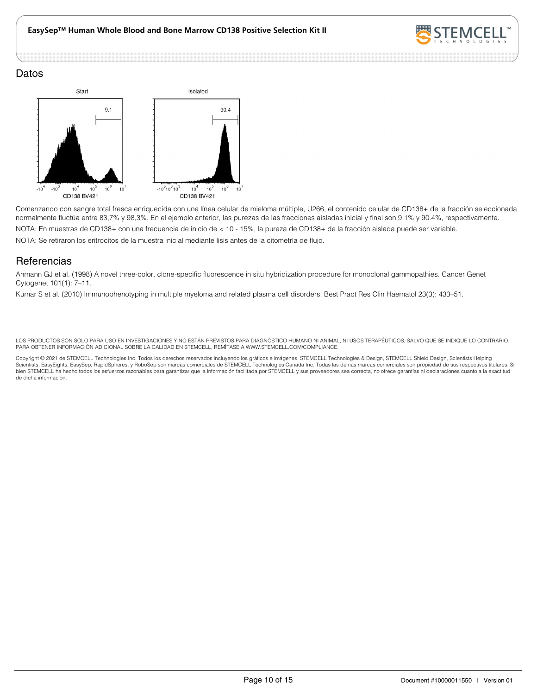

#### Datos



Comenzando con sangre total fresca enriquecida con una línea celular de mieloma múltiple, U266, el contenido celular de CD138+ de la fracción seleccionada normalmente fluctúa entre 83,7% y 98,3%. En el ejemplo anterior, las purezas de las fracciones aisladas inicial y final son 9.1% y 90.4%, respectivamente. NOTA: En muestras de CD138+ con una frecuencia de inicio de < 10 - 15%, la pureza de CD138+ de la fracción aislada puede ser variable. NOTA: Se retiraron los eritrocitos de la muestra inicial mediante lisis antes de la citometría de flujo.

### **Referencias**

Ahmann GJ et al. (1998) A novel three-color, clone-specific fluorescence in situ hybridization procedure for monoclonal gammopathies. Cancer Genet Cytogenet 101(1): 7–11.

Kumar S et al. (2010) Immunophenotyping in multiple myeloma and related plasma cell disorders. Best Pract Res Clin Haematol 23(3): 433–51.

LOS PRODUCTOS SON SOLO PARA USO EN INVESTIGACIONES Y NO ESTÁN PREVISTOS PARA DIAGNÓSTICO HUMANO NI ANIMAL, NI USOS TERAPÉUTICOS, SALVO QUE SE INDIQUE LO CONTRARIO. PARA OBTENER INFORMACIÓN ADICIONAL SOBRE LA CALIDAD EN STEMCELL, REMÍTASE A WWW.STEMCELL.COM/COMPLIANCE.

Copyright © 2021 de STEMCELL Technologies Inc. Todos los derechos reservados incluyendo los gráficos e imágenes. STEMCELL Technologies & Design, STEMCELL Shield Design, Scientists Helping<br>Scientists, EasyEights, EasySep, R bien STEMCELL ha hecho todos los esfuerzos razonables para garantizar que la información facilitada por STEMCELL y sus proveedores sea correcta, no ofrece garantías ni declaraciones cuanto a la exactitud de dicha información.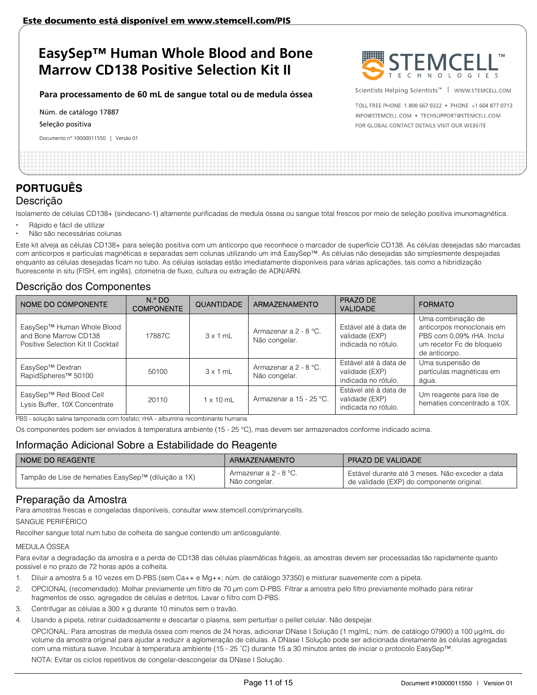### **Para processamento de 60 mL de sangue total ou de medula óssea**

Núm. de catálogo 17887

Seleção positiva

Documento nº 10000011550 | Versão 01



Scientists Helping Scientists™ | WWW.STEMCELL.COM

TOLL FREE PHONE 1 800 667 0322 . PHONE +1 604 877 0713 INFO@STEMCELL.COM . TECHSUPPORT@STEMCELL.COM FOR GLOBAL CONTACT DETAILS VISIT OUR WEBSITE

## **PORTUGUÊS** Descrição

Isolamento de células CD138+ (sindecano-1) altamente purificadas de medula óssea ou sangue total frescos por meio de seleção positiva imunomagnética.

- Rápido e fácil de utilizar
- Não são necessárias colunas

Este kit alveja as células CD138+ para seleção positiva com um anticorpo que reconhece o marcador de superfície CD138. As células desejadas são marcadas com anticorpos e partículas magnéticas e separadas sem colunas utilizando um imã EasySep™. As células não desejadas são simplesmente despejadas enquanto as células desejadas ficam no tubo. As células isoladas estão imediatamente disponíveis para várias aplicações, tais como a hibridização fluorescente in situ (FISH, em inglês), citometria de fluxo, cultura ou extração de ADN/ARN.

### Descrição dos Componentes

| NOME DO COMPONENTE                                                                        | N. <sup>o</sup> DO<br><b>COMPONENTE</b> | <b>QUANTIDADE</b> | <b>ARMAZENAMENTO</b>                     | PRAZO DE<br><b>VALIDADE</b>                                    | <b>FORMATO</b>                                                                                                            |
|-------------------------------------------------------------------------------------------|-----------------------------------------|-------------------|------------------------------------------|----------------------------------------------------------------|---------------------------------------------------------------------------------------------------------------------------|
| EasySep™ Human Whole Blood<br>and Bone Marrow CD138<br>Positive Selection Kit II Cocktail | 17887C                                  | $3 \times 1$ mL   | Armazenar a 2 - 8 °C.<br>Não congelar.   | Estável até à data de<br>validade (EXP)<br>indicada no rótulo. | Uma combinação de<br>anticorpos monoclonais em<br>PBS com 0,09% rHA. Inclui<br>um recetor Fc de bloqueio<br>de anticorpo. |
| EasySep™ Dextran<br>RapidSpheres <sup>™</sup> 50100                                       | 50100                                   | $3 \times 1$ mL   | Armazenar a $2 - 8$ °C.<br>Não congelar. | Estável até à data de<br>validade (EXP)<br>indicada no rótulo. | Uma suspensão de<br>partículas magnéticas em<br>água.                                                                     |
| EasySep™ Red Blood Cell<br>Lysis Buffer, 10X Concentrate                                  | 20110                                   | $1 \times 10$ mL  | Armazenar a 15 - 25 °C.                  | Estável até à data de<br>validade (EXP)<br>indicada no rótulo. | Um reagente para lise de<br>hematies concentrado a 10X.                                                                   |

PBS - solução salina tamponada com fosfato; rHA - albumina recombinante humana

Os componentes podem ser enviados à temperatura ambiente (15 - 25 °C), mas devem ser armazenados conforme indicado acima.

### Informação Adicional Sobre a Estabilidade do Reagente

| I NOME DO REAGENTE                                  | ARMAZENAMENTO                          | <b>PRAZO DE VALIDADE</b>                                                                     |
|-----------------------------------------------------|----------------------------------------|----------------------------------------------------------------------------------------------|
| Tampão de Lise de hematies EasySep™ (diluição a 1X) | Armazenar a 2 - 8 °C.<br>Não congelar. | Estável durante até 3 meses. Não exceder a data<br>de validade (EXP) do componente original. |

### Preparação da Amostra

Para amostras frescas e congeladas disponíveis, consultar www.stemcell.com/primarycells.

SANGUE PERIFÉRICO

Recolher sangue total num tubo de colheita de sangue contendo um anticoagulante.

#### MEDULA ÓSSEA

Para evitar a degradação da amostra e a perda de CD138 das células plasmáticas frágeis, as amostras devem ser processadas tão rapidamente quanto possível e no prazo de 72 horas após a colheita.

- 1. Diluir a amostra 5 a 10 vezes em D-PBS (sem Ca++ e Mg++; núm. de catálogo 37350) e misturar suavemente com a pipeta.
- 2. OPCIONAL (recomendado): Molhar previamente um filtro de 70 μm com D-PBS. Filtrar a amostra pelo filtro previamente molhado para retirar fragmentos de osso, agregados de células e detritos. Lavar o filtro com D-PBS.
- 3. Centrifugar as células a 300 x g durante 10 minutos sem o travão.
- 4. Usando a pipeta, retirar cuidadosamente e descartar o plasma, sem perturbar o pellet celular. Não despejar.

OPCIONAL: Para amostras de medula óssea com menos de 24 horas, adicionar DNase I Solução (1 mg/mL; núm. de catálogo 07900) a 100 μg/mL do volume da amostra original para ajudar a reduzir a aglomeração de células. A DNase I Solução pode ser adicionada diretamente às células agregadas com uma mistura suave. Incubar à temperatura ambiente (15 - 25 ˚C) durante 15 a 30 minutos antes de iniciar o protocolo EasySep™.

NOTA: Evitar os ciclos repetitivos de congelar-descongelar da DNase I Solução.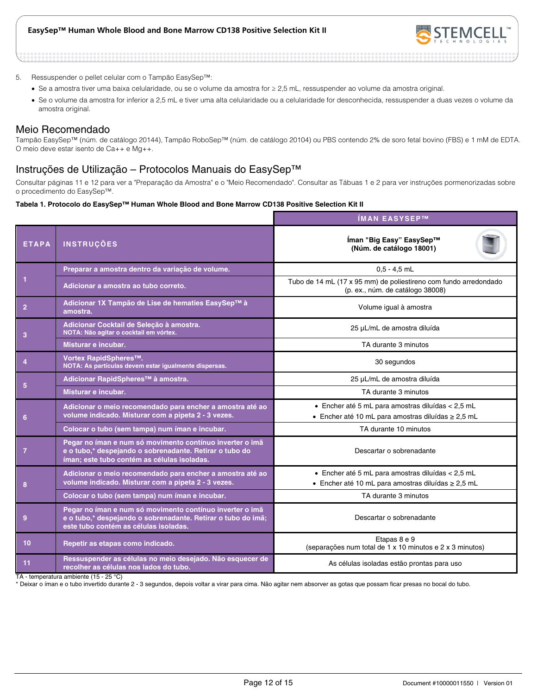

- 5. Ressuspender o pellet celular com o Tampão EasySep™:
	- Se a amostra tiver uma baixa celularidade, ou se o volume da amostra for ≥ 2,5 mL, ressuspender ao volume da amostra original.
	- Se o volume da amostra for inferior a 2,5 mL e tiver uma alta celularidade ou a celularidade for desconhecida, ressuspender a duas vezes o volume da amostra original.

### Meio Recomendado

Tampão EasySep™ (núm. de catálogo 20144), Tampão RoboSep™ (núm. de catálogo 20104) ou PBS contendo 2% de soro fetal bovino (FBS) e 1 mM de EDTA. O meio deve estar isento de Ca++ e Mg++.

### Instruções de Utilização – Protocolos Manuais do EasySep™

Consultar páginas 11 e 12 para ver a "Preparação da Amostra" e o "Meio Recomendado". Consultar as Tábuas 1 e 2 para ver instruções pormenorizadas sobre o procedimento do EasySep™.

#### **Tabela 1. Protocolo do EasySep™ Human Whole Blood and Bone Marrow CD138 Positive Selection Kit II**

|                |                                                                                                                                                                    | ÍMAN EASYSEP™                                                                                                |  |  |
|----------------|--------------------------------------------------------------------------------------------------------------------------------------------------------------------|--------------------------------------------------------------------------------------------------------------|--|--|
| <b>ETAPA</b>   | <b>INSTRUÇÕES</b>                                                                                                                                                  | Íman "Big Easy" EasySep™<br>(Núm. de catálogo 18001)                                                         |  |  |
|                | Preparar a amostra dentro da variação de volume.                                                                                                                   | $0.5 - 4.5$ mL                                                                                               |  |  |
|                | Adicionar a amostra ao tubo correto.                                                                                                                               | Tubo de 14 mL (17 x 95 mm) de poliestireno com fundo arredondado<br>(p. ex., núm. de catálogo 38008)         |  |  |
| $\overline{2}$ | Adicionar 1X Tampão de Lise de hematies EasySep™ à<br>amostra.                                                                                                     | Volume igual à amostra                                                                                       |  |  |
| 3              | Adicionar Cocktail de Seleção à amostra.<br>NOTA: Não agitar o cocktail em vórtex.                                                                                 | 25 µL/mL de amostra diluída                                                                                  |  |  |
|                | Misturar e incubar.                                                                                                                                                | TA durante 3 minutos                                                                                         |  |  |
|                | Vortex RapidSpheres™.<br>NOTA: As partículas devem estar igualmente dispersas.                                                                                     | 30 segundos                                                                                                  |  |  |
| 5              | Adicionar RapidSpheres <sup>™</sup> à amostra.                                                                                                                     | 25 µL/mL de amostra diluída                                                                                  |  |  |
|                | Misturar e incubar.                                                                                                                                                | TA durante 3 minutos                                                                                         |  |  |
| 6              | Adicionar o meio recomendado para encher a amostra até ao<br>volume indicado. Misturar com a pipeta 2 - 3 vezes.                                                   | • Encher até 5 mL para amostras diluídas < 2,5 mL<br>• Encher até 10 mL para amostras diluídas ≥ 2,5 mL      |  |  |
|                | Colocar o tubo (sem tampa) num íman e incubar.                                                                                                                     | TA durante 10 minutos                                                                                        |  |  |
| -7             | Pegar no íman e num só movimento contínuo inverter o imã<br>e o tubo,* despejando o sobrenadante. Retirar o tubo do<br>íman; este tubo contém as células isoladas. | Descartar o sobrenadante                                                                                     |  |  |
| 8              | Adicionar o meio recomendado para encher a amostra até ao<br>volume indicado. Misturar com a pipeta 2 - 3 vezes.                                                   | · Encher até 5 mL para amostras diluídas < 2,5 mL<br>• Encher até 10 mL para amostras diluídas $\geq 2.5$ mL |  |  |
|                | Colocar o tubo (sem tampa) num íman e incubar.                                                                                                                     | TA durante 3 minutos                                                                                         |  |  |
| 9              | Pegar no íman e num só movimento contínuo inverter o imã<br>e o tubo,* despejando o sobrenadante. Retirar o tubo do imã;<br>este tubo contém as células isoladas.  | Descartar o sobrenadante                                                                                     |  |  |
| 10             | Repetir as etapas como indicado.                                                                                                                                   | Etapas 8 e 9<br>(separações num total de 1 x 10 minutos e 2 x 3 minutos)                                     |  |  |
| 11             | Ressuspender as células no meio desejado. Não esquecer de<br>recolher as células nos lados do tubo.                                                                | As células isoladas estão prontas para uso                                                                   |  |  |

TA - temperatura ambiente (15 - 25 °C)

\* Deixar o íman e o tubo invertido durante 2 - 3 segundos, depois voltar a virar para cima. Não agitar nem absorver as gotas que possam ficar presas no bocal do tubo.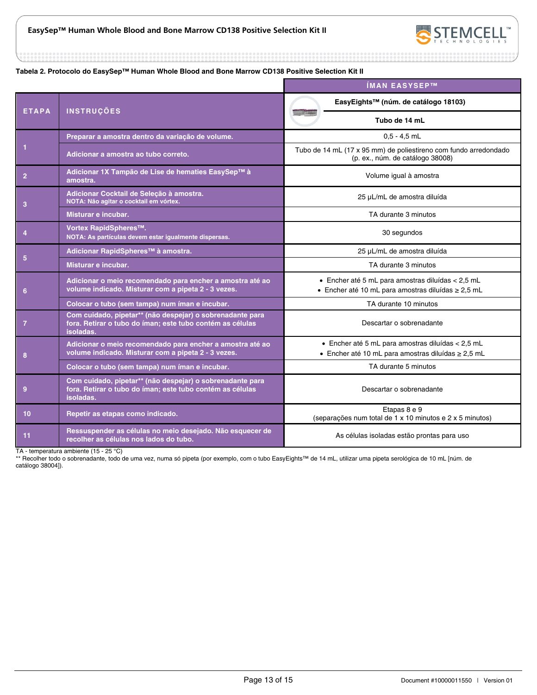



#### **Tabela 2. Protocolo do EasySep™ Human Whole Blood and Bone Marrow CD138 Positive Selection Kit II**

|                |                                                                                                                                     | ÍMAN EASYSEP™                                                                                                |  |
|----------------|-------------------------------------------------------------------------------------------------------------------------------------|--------------------------------------------------------------------------------------------------------------|--|
| <b>ETAPA</b>   | <b>INSTRUÇÕES</b>                                                                                                                   | EasyEights™ (núm. de catálogo 18103)                                                                         |  |
|                |                                                                                                                                     | Tubo de 14 mL                                                                                                |  |
|                | Preparar a amostra dentro da variação de volume.                                                                                    | $0.5 - 4.5$ mL                                                                                               |  |
|                | Adicionar a amostra ao tubo correto.                                                                                                | Tubo de 14 mL (17 x 95 mm) de poliestireno com fundo arredondado<br>(p. ex., núm. de catálogo 38008)         |  |
| $\overline{2}$ | Adicionar 1X Tampão de Lise de hematies EasySep™ à<br>amostra.                                                                      | Volume igual à amostra                                                                                       |  |
| 3              | Adicionar Cocktail de Seleção à amostra.<br>NOTA: Não agitar o cocktail em vórtex.                                                  | 25 µL/mL de amostra diluída                                                                                  |  |
|                | Misturar e incubar.                                                                                                                 | TA durante 3 minutos                                                                                         |  |
|                | Vortex RapidSpheres™.<br>NOTA: As partículas devem estar igualmente dispersas.                                                      | 30 segundos                                                                                                  |  |
|                | Adicionar RapidSpheres™ à amostra.                                                                                                  | 25 µL/mL de amostra diluída                                                                                  |  |
| 5              | Misturar e incubar.                                                                                                                 | TA durante 3 minutos                                                                                         |  |
| 6              | Adicionar o meio recomendado para encher a amostra até ao<br>volume indicado. Misturar com a pipeta 2 - 3 vezes.                    | · Encher até 5 mL para amostras diluídas < 2,5 mL<br>- Encher até 10 mL para amostras diluídas $\geq 2.5$ mL |  |
|                | Colocar o tubo (sem tampa) num íman e incubar.                                                                                      | TA durante 10 minutos                                                                                        |  |
| $\overline{7}$ | Com cuidado, pipetar** (não despejar) o sobrenadante para<br>fora. Retirar o tubo do íman; este tubo contém as células<br>isoladas. | Descartar o sobrenadante                                                                                     |  |
| 8              | Adicionar o meio recomendado para encher a amostra até ao<br>volume indicado. Misturar com a pipeta 2 - 3 vezes.                    | · Encher até 5 mL para amostras diluídas < 2,5 mL<br>• Encher até 10 mL para amostras diluídas $\geq 2.5$ mL |  |
|                | Colocar o tubo (sem tampa) num íman e incubar.                                                                                      | TA durante 5 minutos                                                                                         |  |
| 9              | Com cuidado, pipetar** (não despejar) o sobrenadante para<br>fora. Retirar o tubo do íman; este tubo contém as células<br>isoladas. | Descartar o sobrenadante                                                                                     |  |
| 10             | Repetir as etapas como indicado.                                                                                                    | Etapas 8 e 9<br>(separações num total de 1 x 10 minutos e 2 x 5 minutos)                                     |  |
| 11             | Ressuspender as células no meio desejado. Não esquecer de<br>recolher as células nos lados do tubo.                                 | As células isoladas estão prontas para uso                                                                   |  |

TA - temperatura ambiente (15 - 25 °C)

\*\* Recolher todo o sobrenadante, todo de uma vez, numa só pipeta (por exemplo, com o tubo EasyEights™ de 14 mL, utilizar uma pipeta serológica de 10 mL [núm. de catálogo 38004]).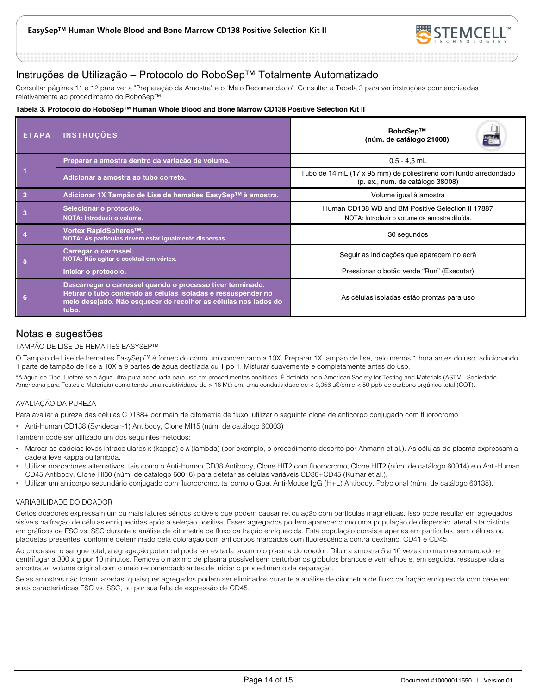

### Instruções de Utilização – Protocolo do RoboSep™ Totalmente Automatizado

Consultar páginas 11 e 12 para ver a "Preparação da Amostra" e o "Meio Recomendado". Consultar a Tabela 3 para ver instruções pormenorizadas relativamente ao procedimento do RoboSep™.

#### **Tabela 3. Protocolo do RoboSep™ Human Whole Blood and Bone Marrow CD138 Positive Selection Kit II**

| <b>ETAPA</b> | <b>INSTRUÇÕES</b>                                                                                                                                                                                       | RoboSep™<br>(núm. de catálogo 21000)                                                                 |  |  |
|--------------|---------------------------------------------------------------------------------------------------------------------------------------------------------------------------------------------------------|------------------------------------------------------------------------------------------------------|--|--|
|              | Preparar a amostra dentro da variação de volume.                                                                                                                                                        | $0.5 - 4.5$ mL                                                                                       |  |  |
|              | Adicionar a amostra ao tubo correto.                                                                                                                                                                    | Tubo de 14 mL (17 x 95 mm) de poliestireno com fundo arredondado<br>(p. ex., núm. de catálogo 38008) |  |  |
|              | Adicionar 1X Tampão de Lise de hematies EasySep™ à amostra.                                                                                                                                             | Volume igual à amostra                                                                               |  |  |
| 3            | Selecionar o protocolo.<br>NOTA: Introduzir o volume.                                                                                                                                                   | Human CD138 WB and BM Positive Selection II 17887<br>NOTA: Introduzir o volume da amostra diluída.   |  |  |
|              | Vortex RapidSpheres™.<br>NOTA: As partículas devem estar igualmente dispersas.                                                                                                                          | 30 segundos                                                                                          |  |  |
| 5            | Carregar o carrossel.<br>NOTA: Não agitar o cocktail em vórtex.                                                                                                                                         | Seguir as indicações que aparecem no ecrã                                                            |  |  |
|              | Iniciar o protocolo.                                                                                                                                                                                    | Pressionar o botão verde "Run" (Executar)                                                            |  |  |
| 6            | Descarregar o carrossel quando o processo tiver terminado.<br>Retirar o tubo contendo as células isoladas e ressuspender no<br>meio desejado. Não esquecer de recolher as células nos lados do<br>tubo. | As células isoladas estão prontas para uso                                                           |  |  |

### Notas e sugestões

#### TAMPÃO DE LISE DE HEMATIES EASYSEP™

O Tampão de Lise de hematies EasySep™ é fornecido como um concentrado a 10X. Preparar 1X tampão de lise, pelo menos 1 hora antes do uso, adicionando 1 parte de tampão de lise a 10X a 9 partes de água destilada ou Tipo 1. Misturar suavemente e completamente antes do uso.

\*A água de Tipo 1 refere-se a água ultra pura adequada para uso em procedimentos analíticos. É definida pela American Society for Testing and Materials (ASTM - Sociedade Americana para Testes e Materiais) como tendo uma resistividade de > 18 MΩ-cm, uma condutividade de < 0,056 μS/cm e < 50 ppb de carbono orgânico total (COT).

#### AVALIAÇÃO DA PUREZA

Para avaliar a pureza das células CD138+ por meio de citometria de fluxo, utilizar o seguinte clone de anticorpo conjugado com fluorocromo:

Anti-Human CD138 (Syndecan-1) Antibody, Clone MI15 (núm. de catálogo 60003)

Também pode ser utilizado um dos seguintes métodos:

- Marcar as cadeias leves intracelulares κ (kappa) e λ (lambda) (por exemplo, o procedimento descrito por Ahmann et al.). As células de plasma expressam a cadeia leve kappa ou lambda.
- Utilizar marcadores alternativos, tais como o Anti-Human CD38 Antibody, Clone HIT2 com fluorocromo, Clone HIT2 (núm. de catálogo 60014) e o Anti-Human CD45 Antibody, Clone HI30 (núm. de catálogo 60018) para detetar as células variáveis CD38+CD45 (Kumar et al.).
- Utilizar um anticorpo secundário conjugado com fluorocromo, tal como o Goat Anti-Mouse IgG (H+L) Antibody, Polyclonal (núm. de catálogo 60138).

#### VARIABILIDADE DO DOADOR

Certos doadores expressam um ou mais fatores séricos solúveis que podem causar reticulação com partículas magnéticas. Isso pode resultar em agregados visíveis na fração de células enriquecidas após a seleção positiva. Esses agregados podem aparecer como uma população de dispersão lateral alta distinta em gráficos de FSC vs. SSC durante a análise de citometria de fluxo da fração enriquecida. Esta população consiste apenas em partículas, sem células ou plaquetas presentes, conforme determinado pela coloração com anticorpos marcados com fluorescência contra dextrano, CD41 e CD45.

Ao processar o sangue total, a agregação potencial pode ser evitada lavando o plasma do doador. Diluir a amostra 5 a 10 vezes no meio recomendado e centrifugar a 300 x g por 10 minutos. Remova o máximo de plasma possível sem perturbar os glóbulos brancos e vermelhos e, em seguida, ressuspenda a amostra ao volume original com o meio recomendado antes de iniciar o procedimento de separação.

Se as amostras não foram lavadas, quaisquer agregados podem ser eliminados durante a análise de citometria de fluxo da fração enriquecida com base em suas características FSC vs. SSC, ou por sua falta de expressão de CD45.